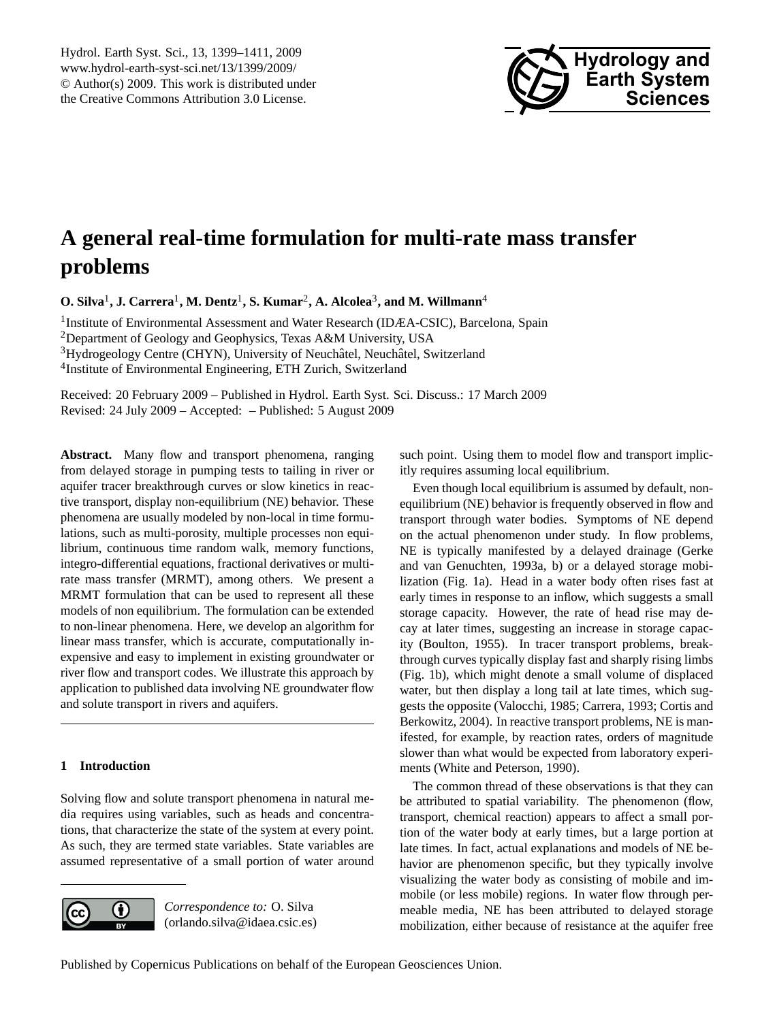<span id="page-0-0"></span>Hydrol. Earth Syst. Sci., 13, 1399–1411, 2009 www.hydrol-earth-syst-sci.net/13/1399/2009/ © Author(s) 2009. This work is distributed under the Creative Commons Attribution 3.0 License.



# **A general real-time formulation for multi-rate mass transfer problems**

**O.** Silva<sup>1</sup>, J. Carrera<sup>1</sup>, M. Dentz<sup>1</sup>, S. Kumar<sup>2</sup>, A. Alcolea<sup>3</sup>, and M. Willmann<sup>4</sup>

<sup>1</sup> Institute of Environmental Assessment and Water Research (IDÆA-CSIC), Barcelona, Spain <sup>2</sup>Department of Geology and Geophysics, Texas A&M University, USA <sup>3</sup>Hydrogeology Centre (CHYN), University of Neuchâtel, Neuchâtel, Switzerland 4 Institute of Environmental Engineering, ETH Zurich, Switzerland

Received: 20 February 2009 – Published in Hydrol. Earth Syst. Sci. Discuss.: 17 March 2009 Revised: 24 July 2009 – Accepted: – Published: 5 August 2009

Abstract. Many flow and transport phenomena, ranging from delayed storage in pumping tests to tailing in river or aquifer tracer breakthrough curves or slow kinetics in reactive transport, display non-equilibrium (NE) behavior. These phenomena are usually modeled by non-local in time formulations, such as multi-porosity, multiple processes non equilibrium, continuous time random walk, memory functions, integro-differential equations, fractional derivatives or multirate mass transfer (MRMT), among others. We present a MRMT formulation that can be used to represent all these models of non equilibrium. The formulation can be extended to non-linear phenomena. Here, we develop an algorithm for linear mass transfer, which is accurate, computationally inexpensive and easy to implement in existing groundwater or river flow and transport codes. We illustrate this approach by application to published data involving NE groundwater flow and solute transport in rivers and aquifers.

# **1 Introduction**

Solving flow and solute transport phenomena in natural media requires using variables, such as heads and concentrations, that characterize the state of the system at every point. As such, they are termed state variables. State variables are assumed representative of a small portion of water around

0 (cc

*Correspondence to:* O. Silva (orlando.silva@idaea.csic.es)

such point. Using them to model flow and transport implicitly requires assuming local equilibrium.

Even though local equilibrium is assumed by default, nonequilibrium (NE) behavior is frequently observed in flow and transport through water bodies. Symptoms of NE depend on the actual phenomenon under study. In flow problems, NE is typically manifested by a delayed drainage (Gerke and van Genuchten, 1993a, b) or a delayed storage mobilization (Fig. 1a). Head in a water body often rises fast at early times in response to an inflow, which suggests a small storage capacity. However, the rate of head rise may decay at later times, suggesting an increase in storage capacity (Boulton, 1955). In tracer transport problems, breakthrough curves typically display fast and sharply rising limbs (Fig. 1b), which might denote a small volume of displaced water, but then display a long tail at late times, which suggests the opposite (Valocchi, 1985; Carrera, 1993; Cortis and Berkowitz, 2004). In reactive transport problems, NE is manifested, for example, by reaction rates, orders of magnitude slower than what would be expected from laboratory experiments (White and Peterson, 1990).

The common thread of these observations is that they can be attributed to spatial variability. The phenomenon (flow, transport, chemical reaction) appears to affect a small portion of the water body at early times, but a large portion at late times. In fact, actual explanations and models of NE behavior are phenomenon specific, but they typically involve visualizing the water body as consisting of mobile and immobile (or less mobile) regions. In water flow through permeable media, NE has been attributed to delayed storage mobilization, either because of resistance at the aquifer free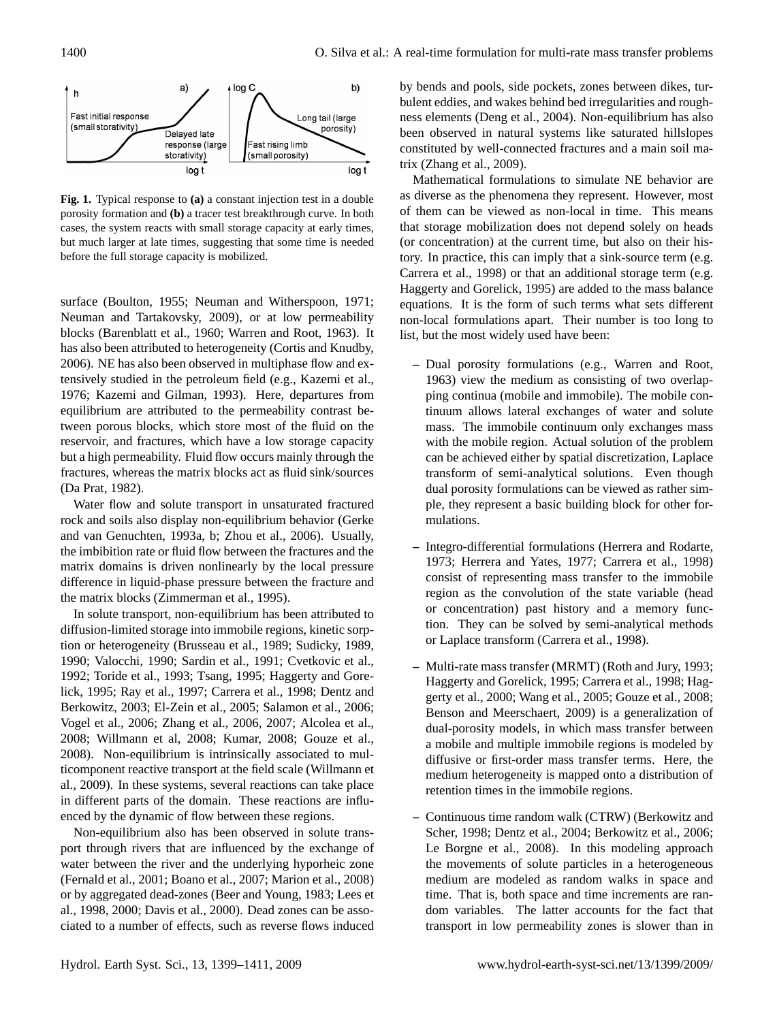

**Fig. 1.** Typical response to **(a)** a constant injection test in a double porosity formation and **(b)** a tracer test breakthrough curve. In both cases, the system reacts with small storage capacity at early times, but much larger at late times, suggesting that some time is needed before the full storage capacity is mobilized.

surface (Boulton, 1955; Neuman and Witherspoon, 1971; Neuman and Tartakovsky, 2009), or at low permeability blocks (Barenblatt et al., 1960; Warren and Root, 1963). It has also been attributed to heterogeneity (Cortis and Knudby, 2006). NE has also been observed in multiphase flow and extensively studied in the petroleum field (e.g., Kazemi et al., 1976; Kazemi and Gilman, 1993). Here, departures from equilibrium are attributed to the permeability contrast between porous blocks, which store most of the fluid on the reservoir, and fractures, which have a low storage capacity but a high permeability. Fluid flow occurs mainly through the fractures, whereas the matrix blocks act as fluid sink/sources (Da Prat, 1982).

Water flow and solute transport in unsaturated fractured rock and soils also display non-equilibrium behavior (Gerke and van Genuchten, 1993a, b; Zhou et al., 2006). Usually, the imbibition rate or fluid flow between the fractures and the matrix domains is driven nonlinearly by the local pressure difference in liquid-phase pressure between the fracture and the matrix blocks (Zimmerman et al., 1995).

In solute transport, non-equilibrium has been attributed to diffusion-limited storage into immobile regions, kinetic sorption or heterogeneity (Brusseau et al., 1989; Sudicky, 1989, 1990; Valocchi, 1990; Sardin et al., 1991; Cvetkovic et al., 1992; Toride et al., 1993; Tsang, 1995; Haggerty and Gorelick, 1995; Ray et al., 1997; Carrera et al., 1998; Dentz and Berkowitz, 2003; El-Zein et al., 2005; Salamon et al., 2006; Vogel et al., 2006; Zhang et al., 2006, 2007; Alcolea et al., 2008; Willmann et al, 2008; Kumar, 2008; Gouze et al., 2008). Non-equilibrium is intrinsically associated to multicomponent reactive transport at the field scale (Willmann et al., 2009). In these systems, several reactions can take place in different parts of the domain. These reactions are influenced by the dynamic of flow between these regions.

Non-equilibrium also has been observed in solute transport through rivers that are influenced by the exchange of water between the river and the underlying hyporheic zone (Fernald et al., 2001; Boano et al., 2007; Marion et al., 2008) or by aggregated dead-zones (Beer and Young, 1983; Lees et al., 1998, 2000; Davis et al., 2000). Dead zones can be associated to a number of effects, such as reverse flows induced by bends and pools, side pockets, zones between dikes, turbulent eddies, and wakes behind bed irregularities and roughness elements (Deng et al., 2004). Non-equilibrium has also been observed in natural systems like saturated hillslopes constituted by well-connected fractures and a main soil matrix (Zhang et al., 2009).

Mathematical formulations to simulate NE behavior are as diverse as the phenomena they represent. However, most of them can be viewed as non-local in time. This means that storage mobilization does not depend solely on heads (or concentration) at the current time, but also on their history. In practice, this can imply that a sink-source term (e.g. Carrera et al., 1998) or that an additional storage term (e.g. Haggerty and Gorelick, 1995) are added to the mass balance equations. It is the form of such terms what sets different non-local formulations apart. Their number is too long to list, but the most widely used have been:

- **–** Dual porosity formulations (e.g., Warren and Root, 1963) view the medium as consisting of two overlapping continua (mobile and immobile). The mobile continuum allows lateral exchanges of water and solute mass. The immobile continuum only exchanges mass with the mobile region. Actual solution of the problem can be achieved either by spatial discretization, Laplace transform of semi-analytical solutions. Even though dual porosity formulations can be viewed as rather simple, they represent a basic building block for other formulations.
- **–** Integro-differential formulations (Herrera and Rodarte, 1973; Herrera and Yates, 1977; Carrera et al., 1998) consist of representing mass transfer to the immobile region as the convolution of the state variable (head or concentration) past history and a memory function. They can be solved by semi-analytical methods or Laplace transform (Carrera et al., 1998).
- **–** Multi-rate mass transfer (MRMT) (Roth and Jury, 1993; Haggerty and Gorelick, 1995; Carrera et al., 1998; Haggerty et al., 2000; Wang et al., 2005; Gouze et al., 2008; Benson and Meerschaert, 2009) is a generalization of dual-porosity models, in which mass transfer between a mobile and multiple immobile regions is modeled by diffusive or first-order mass transfer terms. Here, the medium heterogeneity is mapped onto a distribution of retention times in the immobile regions.
- **–** Continuous time random walk (CTRW) (Berkowitz and Scher, 1998; Dentz et al., 2004; Berkowitz et al., 2006; Le Borgne et al., 2008). In this modeling approach the movements of solute particles in a heterogeneous medium are modeled as random walks in space and time. That is, both space and time increments are random variables. The latter accounts for the fact that transport in low permeability zones is slower than in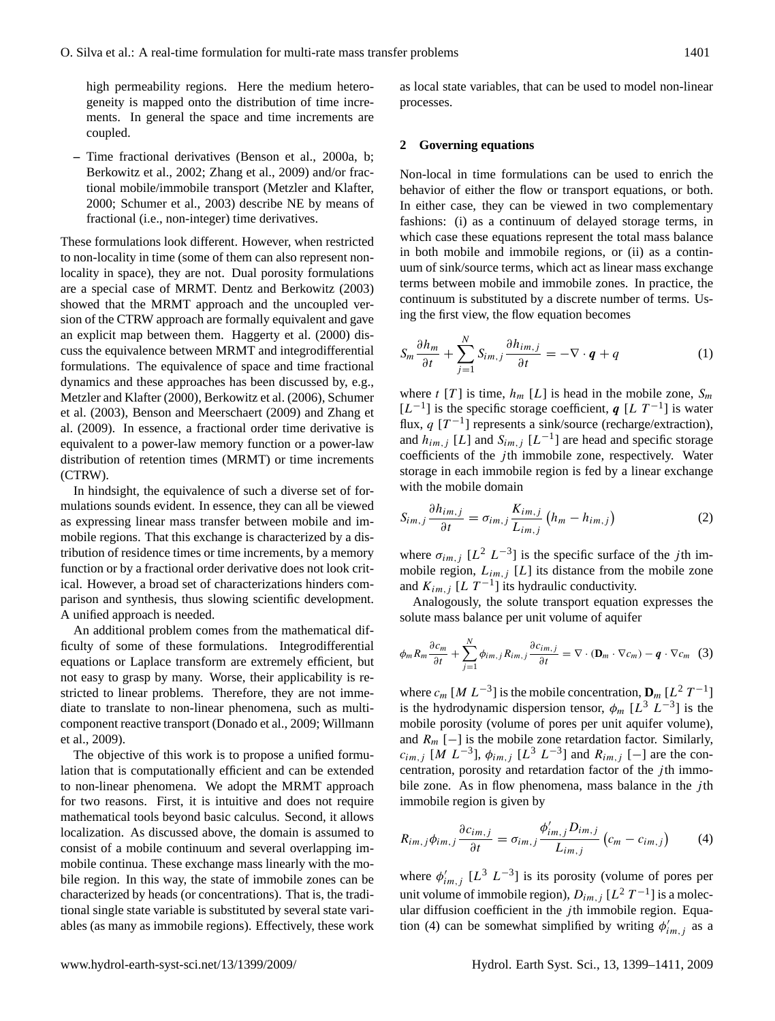high permeability regions. Here the medium heterogeneity is mapped onto the distribution of time increments. In general the space and time increments are coupled.

**–** Time fractional derivatives (Benson et al., 2000a, b; Berkowitz et al., 2002; Zhang et al., 2009) and/or fractional mobile/immobile transport (Metzler and Klafter, 2000; Schumer et al., 2003) describe NE by means of fractional (i.e., non-integer) time derivatives.

These formulations look different. However, when restricted to non-locality in time (some of them can also represent nonlocality in space), they are not. Dual porosity formulations are a special case of MRMT. Dentz and Berkowitz (2003) showed that the MRMT approach and the uncoupled version of the CTRW approach are formally equivalent and gave an explicit map between them. Haggerty et al. (2000) discuss the equivalence between MRMT and integrodifferential formulations. The equivalence of space and time fractional dynamics and these approaches has been discussed by, e.g., Metzler and Klafter (2000), Berkowitz et al. (2006), Schumer et al. (2003), Benson and Meerschaert (2009) and Zhang et al. (2009). In essence, a fractional order time derivative is equivalent to a power-law memory function or a power-law distribution of retention times (MRMT) or time increments (CTRW).

In hindsight, the equivalence of such a diverse set of formulations sounds evident. In essence, they can all be viewed as expressing linear mass transfer between mobile and immobile regions. That this exchange is characterized by a distribution of residence times or time increments, by a memory function or by a fractional order derivative does not look critical. However, a broad set of characterizations hinders comparison and synthesis, thus slowing scientific development. A unified approach is needed.

An additional problem comes from the mathematical difficulty of some of these formulations. Integrodifferential equations or Laplace transform are extremely efficient, but not easy to grasp by many. Worse, their applicability is restricted to linear problems. Therefore, they are not immediate to translate to non-linear phenomena, such as multicomponent reactive transport (Donado et al., 2009; Willmann et al., 2009).

The objective of this work is to propose a unified formulation that is computationally efficient and can be extended to non-linear phenomena. We adopt the MRMT approach for two reasons. First, it is intuitive and does not require mathematical tools beyond basic calculus. Second, it allows localization. As discussed above, the domain is assumed to consist of a mobile continuum and several overlapping immobile continua. These exchange mass linearly with the mobile region. In this way, the state of immobile zones can be characterized by heads (or concentrations). That is, the traditional single state variable is substituted by several state variables (as many as immobile regions). Effectively, these work as local state variables, that can be used to model non-linear processes.

# **2 Governing equations**

Non-local in time formulations can be used to enrich the behavior of either the flow or transport equations, or both. In either case, they can be viewed in two complementary fashions: (i) as a continuum of delayed storage terms, in which case these equations represent the total mass balance in both mobile and immobile regions, or (ii) as a continuum of sink/source terms, which act as linear mass exchange terms between mobile and immobile zones. In practice, the continuum is substituted by a discrete number of terms. Using the first view, the flow equation becomes

$$
S_m \frac{\partial h_m}{\partial t} + \sum_{j=1}^N S_{im,j} \frac{\partial h_{im,j}}{\partial t} = -\nabla \cdot \boldsymbol{q} + \boldsymbol{q}
$$
 (1)

where t [T] is time,  $h_m$  [L] is head in the mobile zone,  $S_m$  $[L^{-1}]$  is the specific storage coefficient, q  $[L \ T^{-1}]$  is water flux,  $q$  [T<sup>-1</sup>] represents a sink/source (recharge/extraction), and  $h_{im,j}$  [L] and  $S_{im,j}$  [L<sup>-1</sup>] are head and specific storage coefficients of the *j*th immobile zone, respectively. Water storage in each immobile region is fed by a linear exchange with the mobile domain

$$
S_{im,j}\frac{\partial h_{im,j}}{\partial t} = \sigma_{im,j}\frac{K_{im,j}}{L_{im,j}}\left(h_m - h_{im,j}\right) \tag{2}
$$

where  $\sigma_{im,j}$  [ $L^2$   $L^{-3}$ ] is the specific surface of the *j*th immobile region,  $L_{im,j}$  [L] its distance from the mobile zone and  $K_{im,j}$  [L  $T^{-1}$ ] its hydraulic conductivity.

Analogously, the solute transport equation expresses the solute mass balance per unit volume of aquifer

$$
\phi_m R_m \frac{\partial c_m}{\partial t} + \sum_{j=1}^N \phi_{im,j} R_{im,j} \frac{\partial c_{im,j}}{\partial t} = \nabla \cdot (\mathbf{D}_m \cdot \nabla c_m) - \boldsymbol{q} \cdot \nabla c_m \quad (3)
$$

where  $c_m [M L^{-3}]$  is the mobile concentration,  $\mathbf{D}_m [L^2 T^{-1}]$ is the hydrodynamic dispersion tensor,  $\phi_m$  [ $L^3$   $L^{-3}$ ] is the mobile porosity (volume of pores per unit aquifer volume), and  $R_m$  [-] is the mobile zone retardation factor. Similarly,  $c_{im,j}$  [*M*  $L^{-3}$ ],  $\phi_{im,j}$  [ $L^{3}$   $L^{-3}$ ] and  $R_{im,j}$  [-] are the concentration, porosity and retardation factor of the jth immobile zone. As in flow phenomena, mass balance in the *j*th immobile region is given by

$$
R_{im,j}\phi_{im,j}\frac{\partial c_{im,j}}{\partial t}=\sigma_{im,j}\frac{\phi'_{im,j}D_{im,j}}{L_{im,j}}(c_m-c_{im,j})\qquad(4)
$$

where  $\phi'_{im,j}$  [ $L^3$   $L^{-3}$ ] is its porosity (volume of pores per unit volume of immobile region),  $D_{im,j}$  [ $L^2$   $T^{-1}$ ] is a molecular diffusion coefficient in the  $j$ th immobile region. Equation (4) can be somewhat simplified by writing  $\phi'_{im,j}$  as a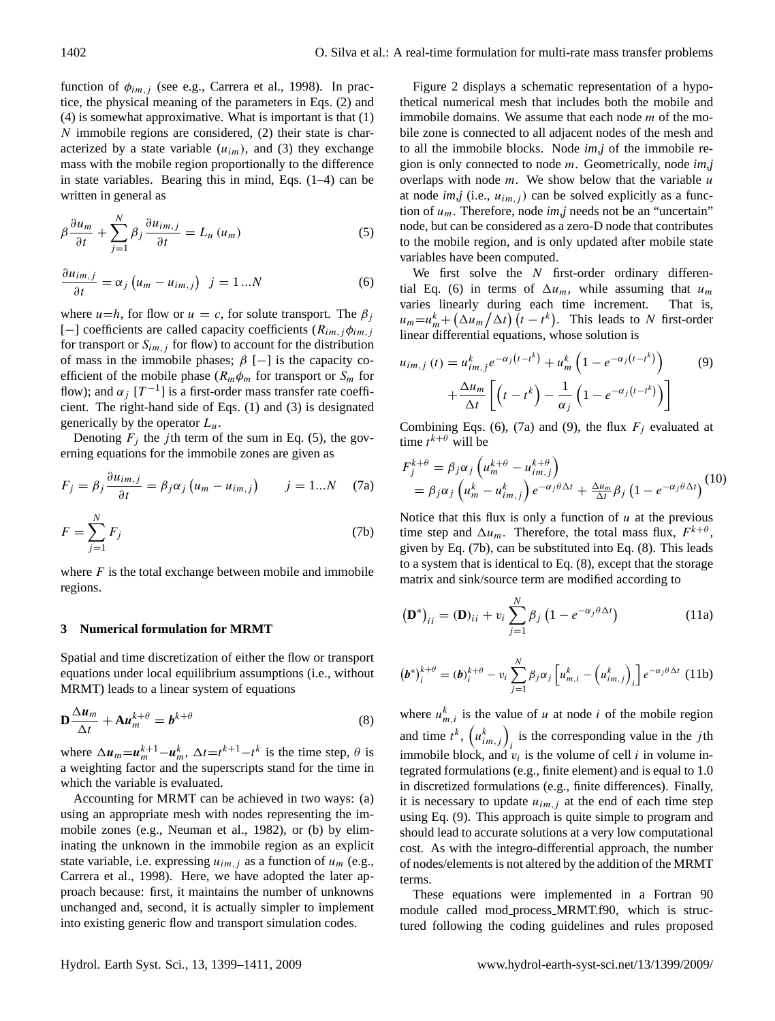function of  $\phi_{im,i}$  (see e.g., Carrera et al., 1998). In practice, the physical meaning of the parameters in Eqs. (2) and (4) is somewhat approximative. What is important is that (1)  $N$  immobile regions are considered,  $(2)$  their state is characterized by a state variable  $(u_{im})$ , and (3) they exchange mass with the mobile region proportionally to the difference in state variables. Bearing this in mind, Eqs. (1–4) can be written in general as

$$
\beta \frac{\partial u_m}{\partial t} + \sum_{j=1}^{N} \beta_j \frac{\partial u_{im,j}}{\partial t} = L_u(u_m)
$$
 (5)

$$
\frac{\partial u_{im,j}}{\partial t} = \alpha_j \left( u_m - u_{im,j} \right) \quad j = 1...N \tag{6}
$$

where  $u=h$ , for flow or  $u = c$ , for solute transport. The  $\beta_i$ [-] coefficients are called capacity coefficients  $(R_{im,j}\phi_{im,j})$ for transport or  $S_{im,j}$  for flow) to account for the distribution of mass in the immobile phases;  $\beta$  [-] is the capacity coefficient of the mobile phase ( $R_m \phi_m$  for transport or  $S_m$  for flow); and  $\alpha_j$  [T<sup>-1</sup>] is a first-order mass transfer rate coefficient. The right-hand side of Eqs. (1) and (3) is designated generically by the operator  $L_u$ .

Denoting  $F_i$  the jth term of the sum in Eq. (5), the governing equations for the immobile zones are given as

$$
F_j = \beta_j \frac{\partial u_{im,j}}{\partial t} = \beta_j \alpha_j \left( u_m - u_{im,j} \right) \qquad j = 1...N \quad (7a)
$$

$$
F = \sum_{j=1}^{N} F_j \tag{7b}
$$

where  $F$  is the total exchange between mobile and immobile regions.

### **3 Numerical formulation for MRMT**

Spatial and time discretization of either the flow or transport equations under local equilibrium assumptions (i.e., without MRMT) leads to a linear system of equations

$$
\mathbf{D}\frac{\Delta u_m}{\Delta t} + \mathbf{A}u_m^{k+\theta} = \boldsymbol{b}^{k+\theta}
$$
 (8)

where  $\Delta u_m = u_m^{k+1} - u_m^k$ ,  $\Delta t = t^{k+1} - t^k$  is the time step,  $\theta$  is a weighting factor and the superscripts stand for the time in which the variable is evaluated.

Accounting for MRMT can be achieved in two ways: (a) using an appropriate mesh with nodes representing the immobile zones (e.g., Neuman et al., 1982), or (b) by eliminating the unknown in the immobile region as an explicit state variable, i.e. expressing  $u_{im,j}$  as a function of  $u_m$  (e.g., Carrera et al., 1998). Here, we have adopted the later approach because: first, it maintains the number of unknowns unchanged and, second, it is actually simpler to implement into existing generic flow and transport simulation codes.

Figure 2 displays a schematic representation of a hypothetical numerical mesh that includes both the mobile and immobile domains. We assume that each node  $m$  of the mobile zone is connected to all adjacent nodes of the mesh and to all the immobile blocks. Node *im,j* of the immobile region is only connected to node m. Geometrically, node *im,j* overlaps with node  $m$ . We show below that the variable  $u$ at node *im*,*j* (i.e.,  $u_{im,j}$ ) can be solved explicitly as a function of  $u_m$ . Therefore, node *im*, j needs not be an "uncertain" node, but can be considered as a zero-D node that contributes to the mobile region, and is only updated after mobile state variables have been computed.

We first solve the  $N$  first-order ordinary differential Eq. (6) in terms of  $\Delta u_m$ , while assuming that  $u_m$ varies linearly during each time increment. That is,  $u_m = u_m^k + (\Delta u_m / \Delta t) (t - t^k)$ . This leads to N first-order linear differential equations, whose solution is

$$
u_{im,j}(t) = u_{im,j}^k e^{-\alpha_j(t - t^k)} + u_m^k \left(1 - e^{-\alpha_j(t - t^k)}\right)
$$
(9)  
 
$$
+ \frac{\Delta u_m}{\Delta t} \left[ \left(t - t^k\right) - \frac{1}{\alpha_j} \left(1 - e^{-\alpha_j(t - t^k)}\right) \right]
$$

Combining Eqs. (6), (7a) and (9), the flux  $F_i$  evaluated at time  $t^{k+\theta}$  will be

$$
F_j^{k+\theta} = \beta_j \alpha_j \left( u_m^{k+\theta} - u_{im,j}^{k+\theta} \right)
$$
  
=  $\beta_j \alpha_j \left( u_m^k - u_{im,j}^k \right) e^{-\alpha_j \theta \Delta t} + \frac{\Delta u_m}{\Delta t} \beta_j \left( 1 - e^{-\alpha_j \theta \Delta t} \right)$  (10)

Notice that this flux is only a function of  $u$  at the previous time step and  $\Delta u_m$ . Therefore, the total mass flux,  $F^{k+\theta}$ , given by Eq. (7b), can be substituted into Eq. (8). This leads to a system that is identical to Eq. (8), except that the storage matrix and sink/source term are modified according to

$$
\left(\mathbf{D}^*\right)_{ii} = \left(\mathbf{D}\right)_{ii} + v_i \sum_{j=1}^N \beta_j \left(1 - e^{-\alpha_j \theta \Delta t}\right) \tag{11a}
$$

$$
\left(\boldsymbol{b}^*\right)_i^{k+\theta} = \left(\boldsymbol{b}\right)_i^{k+\theta} - v_i \sum_{j=1}^N \beta_j \alpha_j \left[u_{m,i}^k - \left(u_{im,j}^k\right)_i\right] e^{-\alpha_j \theta \Delta t} \tag{11b}
$$

where  $u_{m,i}^k$  is the value of u at node i of the mobile region and time  $t^k$ ,  $(u^k_{im,j})_i$  is the corresponding value in the *j*th immobile block, and  $v_i$  is the volume of cell  $i$  in volume integrated formulations (e.g., finite element) and is equal to 1.0 in discretized formulations (e.g., finite differences). Finally, it is necessary to update  $u_{im,i}$  at the end of each time step using Eq. (9). This approach is quite simple to program and should lead to accurate solutions at a very low computational cost. As with the integro-differential approach, the number of nodes/elements is not altered by the addition of the MRMT terms.

These equations were implemented in a Fortran 90 module called mod process MRMT.f90, which is structured following the coding guidelines and rules proposed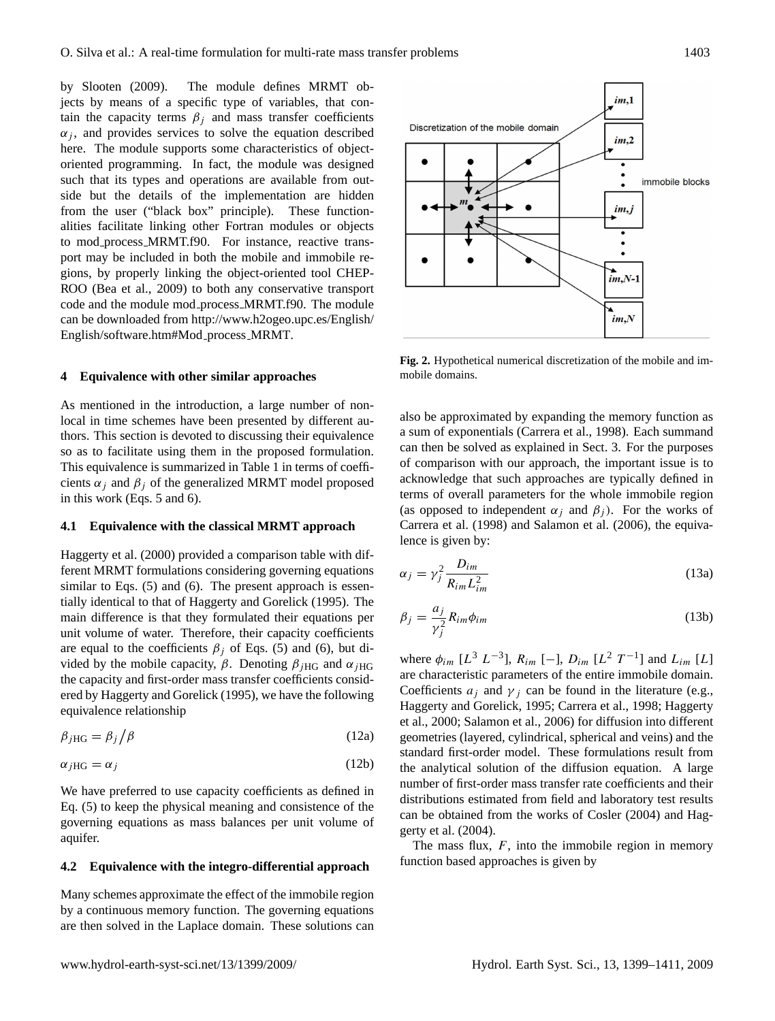by Slooten (2009). The module defines MRMT objects by means of a specific type of variables, that contain the capacity terms  $\beta_i$  and mass transfer coefficients  $\alpha_i$ , and provides services to solve the equation described here. The module supports some characteristics of objectoriented programming. In fact, the module was designed such that its types and operations are available from outside but the details of the implementation are hidden from the user ("black box" principle). These functionalities facilitate linking other Fortran modules or objects to mod process MRMT.f90. For instance, reactive transport may be included in both the mobile and immobile regions, by properly linking the object-oriented tool CHEP-ROO (Bea et al., 2009) to both any conservative transport code and the module mod process MRMT.f90. The module can be downloaded from [http://www.h2ogeo.upc.es/English/](http://www.h2ogeo.upc.es/English/English/software.htm#Mod_process_MRMT) [English/software.htm#Mod](http://www.h2ogeo.upc.es/English/English/software.htm#Mod_process_MRMT) process MRMT.

#### **4 Equivalence with other similar approaches**

As mentioned in the introduction, a large number of nonlocal in time schemes have been presented by different authors. This section is devoted to discussing their equivalence so as to facilitate using them in the proposed formulation. This equivalence is summarized in Table 1 in terms of coefficients  $\alpha_i$  and  $\beta_i$  of the generalized MRMT model proposed in this work (Eqs. 5 and 6).

#### **4.1 Equivalence with the classical MRMT approach**

Haggerty et al. (2000) provided a comparison table with different MRMT formulations considering governing equations similar to Eqs. (5) and (6). The present approach is essentially identical to that of Haggerty and Gorelick (1995). The main difference is that they formulated their equations per unit volume of water. Therefore, their capacity coefficients are equal to the coefficients  $\beta_i$  of Eqs. (5) and (6), but divided by the mobile capacity, β. Denoting  $β<sub>iHG</sub>$  and  $α<sub>iHG</sub>$ the capacity and first-order mass transfer coefficients considered by Haggerty and Gorelick (1995), we have the following equivalence relationship

$$
\beta_{jHG} = \beta_j / \beta \tag{12a}
$$

$$
\alpha_{jHG} = \alpha_j \tag{12b}
$$

We have preferred to use capacity coefficients as defined in Eq. (5) to keep the physical meaning and consistence of the governing equations as mass balances per unit volume of aquifer.

#### **4.2 Equivalence with the integro-differential approach**

Many schemes approximate the effect of the immobile region by a continuous memory function. The governing equations are then solved in the Laplace domain. These solutions can



**Fig. 2.** Hypothetical numerical discretization of the mobile and immobile domains.

also be approximated by expanding the memory function as a sum of exponentials (Carrera et al., 1998). Each summand can then be solved as explained in Sect. 3. For the purposes of comparison with our approach, the important issue is to acknowledge that such approaches are typically defined in terms of overall parameters for the whole immobile region (as opposed to independent  $\alpha_i$  and  $\beta_i$ ). For the works of Carrera et al. (1998) and Salamon et al. (2006), the equivalence is given by:

$$
\alpha_j = \gamma_j^2 \frac{D_{im}}{R_{im} L_{im}^2} \tag{13a}
$$

$$
\beta_j = \frac{a_j}{\gamma_j^2} R_{im} \phi_{im} \tag{13b}
$$

where  $\phi_{im}$  [ $L^3$   $L^{-3}$ ],  $R_{im}$  [-],  $D_{im}$  [ $L^2$   $T^{-1}$ ] and  $L_{im}$  [ $L$ ] are characteristic parameters of the entire immobile domain. Coefficients  $a_i$  and  $\gamma_i$  can be found in the literature (e.g., Haggerty and Gorelick, 1995; Carrera et al., 1998; Haggerty et al., 2000; Salamon et al., 2006) for diffusion into different geometries (layered, cylindrical, spherical and veins) and the standard first-order model. These formulations result from the analytical solution of the diffusion equation. A large number of first-order mass transfer rate coefficients and their distributions estimated from field and laboratory test results can be obtained from the works of Cosler (2004) and Haggerty et al. (2004).

The mass flux,  $F$ , into the immobile region in memory function based approaches is given by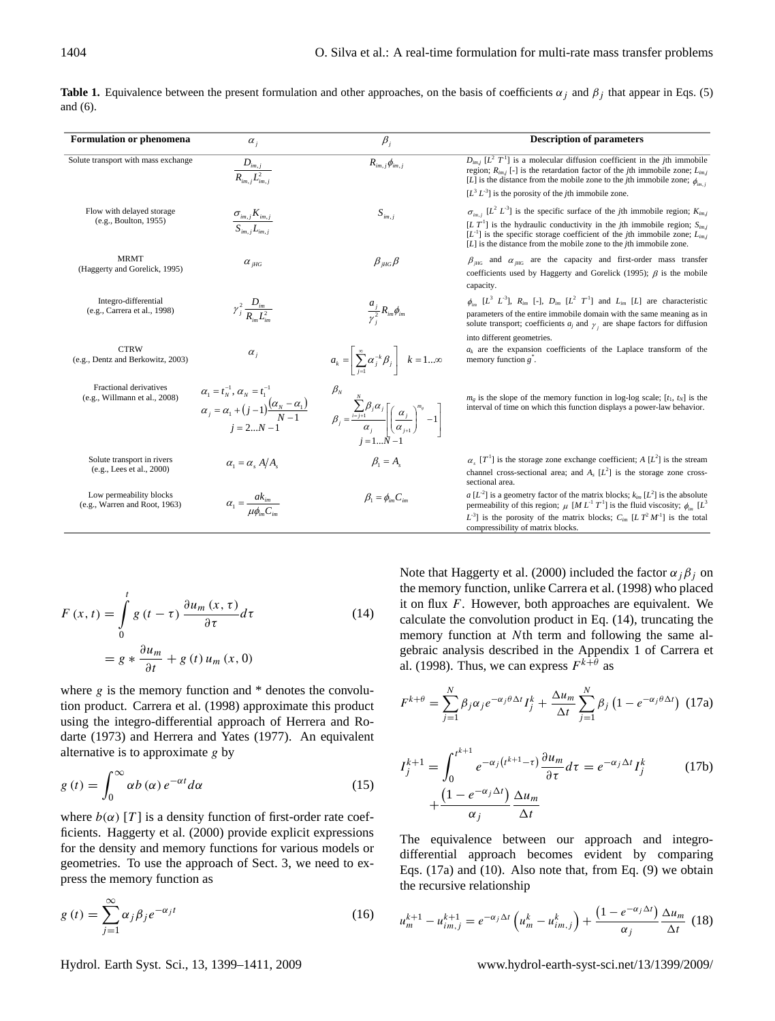| <b>Formulation or phenomena</b>                          | $\alpha_i$                                                                                                                   | $\beta_i$                                                                                                                          | <b>Description of parameters</b>                                                                                                                                                                                                                                                |
|----------------------------------------------------------|------------------------------------------------------------------------------------------------------------------------------|------------------------------------------------------------------------------------------------------------------------------------|---------------------------------------------------------------------------------------------------------------------------------------------------------------------------------------------------------------------------------------------------------------------------------|
| Solute transport with mass exchange                      | $\frac{D_{im,j}}{R_{im,j}L_{im,j}^2}$                                                                                        | $R_{im,j}\phi_{im,j}$                                                                                                              | $D_{im,j}$ [ $L^2$ $T^1$ ] is a molecular diffusion coefficient in the <i>j</i> th immobile<br>region; $R_{im,i}$ [-] is the retardation factor of the <i>j</i> th immobile zone; $L_{im,i}$<br>[L] is the distance from the mobile zone to the jth immobile zone; $\phi_{i_m}$ |
|                                                          |                                                                                                                              |                                                                                                                                    | $[L3 L-3]$ is the porosity of the <i>i</i> th immobile zone.                                                                                                                                                                                                                    |
| Flow with delayed storage                                |                                                                                                                              | $S_{\mathit{im}, \mathit{j}}$                                                                                                      | $\sigma_{lm,j}$ [L <sup>2</sup> L <sup>-3</sup> ] is the specific surface of the <i>j</i> th immobile region; $K_{im,j}$                                                                                                                                                        |
| (e.g., Boulton, 1955)                                    | $\frac{\sigma_{im,j}K_{im,j}}{S_{im,j}L_{im,j}}$                                                                             |                                                                                                                                    | $[L T1]$ is the hydraulic conductivity in the jth immobile region; $S_{im,i}$<br>$[L-1]$ is the specific storage coefficient of the jth immobile zone; $L_{im,j}$<br>$[L]$ is the distance from the mobile zone to the <i>j</i> th immobile zone.                               |
| <b>MRMT</b><br>(Haggerty and Gorelick, 1995)             | $\alpha$ <sub>iHG</sub>                                                                                                      | $\beta_{iH}$                                                                                                                       | $\beta_{\text{HIG}}$ and $\alpha_{\text{HIG}}$ are the capacity and first-order mass transfer<br>coefficients used by Haggerty and Gorelick (1995); $\beta$ is the mobile<br>capacity.                                                                                          |
| Integro-differential                                     |                                                                                                                              |                                                                                                                                    | $\phi_{im}$ [ $L^3$ $L^{-3}$ ], $R_{im}$ [-], $D_{im}$ [ $L^2$ $T^{-1}$ ] and $L_{im}$ [ $L$ ] are characteristic                                                                                                                                                               |
| (e.g., Carrera et al., 1998)                             | $\gamma_j^2 \frac{D_{im}}{R_{i} L_{i}^2}$                                                                                    | $\frac{u_j}{\gamma_i^2}R_{im}\phi_{im}$                                                                                            | parameters of the entire immobile domain with the same meaning as in<br>solute transport; coefficients $a_j$ and $\gamma$ , are shape factors for diffusion                                                                                                                     |
| <b>CTRW</b>                                              |                                                                                                                              |                                                                                                                                    | into different geometries.<br>$a_k$ are the expansion coefficients of the Laplace transform of the                                                                                                                                                                              |
| (e.g., Dentz and Berkowitz, 2003)                        | $\alpha_i$                                                                                                                   | $a_k = \left  \sum_{i=1}^{\infty} \alpha_i^{-k} \beta_i \right  \quad k = 1\infty$                                                 | memory function $g^{\dagger}$ .                                                                                                                                                                                                                                                 |
| Fractional derivatives                                   |                                                                                                                              |                                                                                                                                    |                                                                                                                                                                                                                                                                                 |
| (e.g., Willmann et al., 2008)                            | $\alpha_1 = t_N^{-1}, \alpha_N = t_1^{-1}$<br>$\alpha_j = \alpha_1 + (j-1)\frac{(\alpha_N - \alpha_1)}{N-1}$<br>$i = 2N - 1$ | $\beta_j = \frac{\sum_{i=j+1}^N \beta_j \alpha_j}{\alpha_j} \left[ \left( \frac{\alpha_j}{\alpha_{j+1}} \right)^{m_g} - 1 \right]$ | $mg$ is the slope of the memory function in log-log scale; [ $t1$ , $tN$ ] is the<br>interval of time on which this function displays a power-law behavior.                                                                                                                     |
|                                                          |                                                                                                                              | $i=1$ $\overline{N}-1$                                                                                                             |                                                                                                                                                                                                                                                                                 |
| Solute transport in rivers                               | $\alpha_{\rm i} = \alpha_{\rm e} A/A_{\rm e}$                                                                                | $\beta_1 = A_s$                                                                                                                    | $\alpha$ , $[T^1]$ is the storage zone exchange coefficient; A $[L^2]$ is the stream                                                                                                                                                                                            |
| (e.g., Lees et al., 2000)                                |                                                                                                                              |                                                                                                                                    | channel cross-sectional area; and $A_s$ [ $L^2$ ] is the storage zone cross-<br>sectional area.                                                                                                                                                                                 |
| Low permeability blocks<br>(e.g., Warren and Root, 1963) | $\alpha_1 = \frac{a k_{im}}{\mu \phi_{im} C_{im}}$                                                                           | $\beta_1 = \phi_{im} C_{im}$                                                                                                       | $a [L-2]$ is a geometry factor of the matrix blocks; $k_{im} [L2]$ is the absolute<br>permeability of this region; $\mu$ [M $L^{-1}T^{-1}$ ] is the fluid viscosity; $\phi_{im}$ [ $L^3$                                                                                        |
|                                                          |                                                                                                                              |                                                                                                                                    | $L^{3}$ ] is the porosity of the matrix blocks; $C_{im}$ [L $T^2 M^{1}$ ] is the total<br>compressibility of matrix blocks.                                                                                                                                                     |

**Table 1.** Equivalence between the present formulation and other approaches, on the basis of coefficients  $\alpha_j$  and  $\beta_j$  that appear in Eqs. (5) and (6).

$$
F(x,t) = \int_{0}^{t} g(t-\tau) \frac{\partial u_m(x,\tau)}{\partial \tau} d\tau
$$
\n
$$
= g * \frac{\partial u_m}{\partial t} + g(t) u_m(x,0)
$$
\n(14)

where  $g$  is the memory function and  $*$  denotes the convolution product. Carrera et al. (1998) approximate this product using the integro-differential approach of Herrera and Rodarte (1973) and Herrera and Yates (1977). An equivalent alternative is to approximate  $g$  by

$$
g(t) = \int_0^\infty \alpha b(\alpha) e^{-\alpha t} d\alpha \tag{15}
$$

where  $b(\alpha)$  [T] is a density function of first-order rate coefficients. Haggerty et al. (2000) provide explicit expressions for the density and memory functions for various models or geometries. To use the approach of Sect. 3, we need to express the memory function as

$$
g(t) = \sum_{j=1}^{\infty} \alpha_j \beta_j e^{-\alpha_j t}
$$
 (16)

Note that Haggerty et al. (2000) included the factor  $\alpha_j \beta_j$  on the memory function, unlike Carrera et al. (1998) who placed it on flux  $F$ . However, both approaches are equivalent. We calculate the convolution product in Eq. (14), truncating the memory function at Nth term and following the same algebraic analysis described in the Appendix 1 of Carrera et al. (1998). Thus, we can express  $F^{k\bar{+}\theta}$  as

$$
F^{k+\theta} = \sum_{j=1}^{N} \beta_j \alpha_j e^{-\alpha_j \theta \Delta t} I_j^k + \frac{\Delta u_m}{\Delta t} \sum_{j=1}^{N} \beta_j \left(1 - e^{-\alpha_j \theta \Delta t}\right) (17a)
$$

$$
I_j^{k+1} = \int_0^{t^{k+1}} e^{-\alpha_j (t^{k+1} - \tau)} \frac{\partial u_m}{\partial \tau} d\tau = e^{-\alpha_j \Delta t} I_j^k + \frac{\left(1 - e^{-\alpha_j \Delta t}\right) \Delta u_m}{\alpha_j} \Delta t
$$
 (17b)

The equivalence between our approach and integrodifferential approach becomes evident by comparing Eqs. (17a) and (10). Also note that, from Eq. (9) we obtain the recursive relationship

$$
u_{m}^{k+1} - u_{im,j}^{k+1} = e^{-\alpha_{j}\Delta t} \left( u_{m}^{k} - u_{im,j}^{k} \right) + \frac{\left( 1 - e^{-\alpha_{j}\Delta t} \right) \Delta u_{m}}{\alpha_{j}} \frac{\Delta u_{m}}{\Delta t} \tag{18}
$$

Hydrol. Earth Syst. Sci., 13, 1399[–1411,](#page-0-0) 2009 www.hydrol-earth-syst-sci.net/13/1399/2009/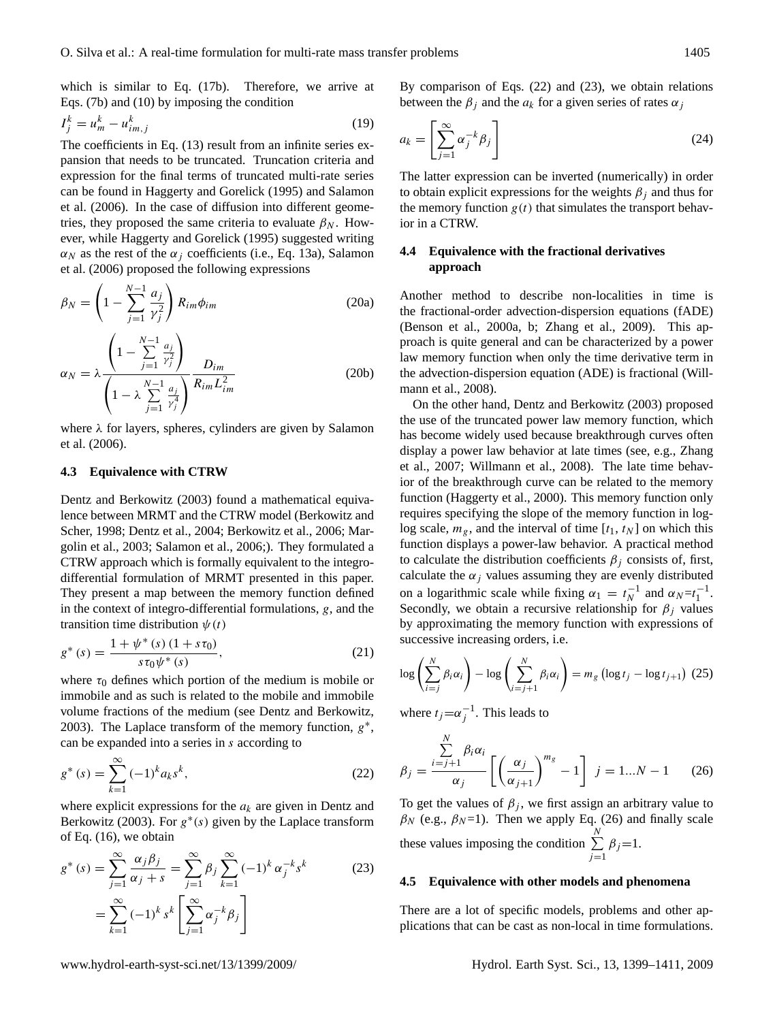which is similar to Eq.  $(17b)$ . Therefore, we arrive at Eqs. (7b) and (10) by imposing the condition

$$
I_j^k = u_m^k - u_{im,j}^k \tag{19}
$$

The coefficients in Eq. (13) result from an infinite series expansion that needs to be truncated. Truncation criteria and expression for the final terms of truncated multi-rate series can be found in Haggerty and Gorelick (1995) and Salamon et al. (2006). In the case of diffusion into different geometries, they proposed the same criteria to evaluate  $\beta_N$ . However, while Haggerty and Gorelick (1995) suggested writing  $\alpha_N$  as the rest of the  $\alpha_i$  coefficients (i.e., Eq. 13a), Salamon et al. (2006) proposed the following expressions

$$
\beta_N = \left(1 - \sum_{j=1}^{N-1} \frac{a_j}{\gamma_j^2}\right) R_{im} \phi_{im} \tag{20a}
$$

$$
\alpha_N = \lambda \frac{\left(1 - \sum_{j=1}^{N-1} \frac{a_j}{\gamma_j^2}\right)}{\left(1 - \lambda \sum_{j=1}^{N-1} \frac{a_j}{\gamma_j^4}\right)} \frac{D_{im}}{R_{im} L_{im}^2}
$$
(20b)

where  $\lambda$  for layers, spheres, cylinders are given by Salamon et al. (2006).

#### **4.3 Equivalence with CTRW**

Dentz and Berkowitz (2003) found a mathematical equivalence between MRMT and the CTRW model (Berkowitz and Scher, 1998; Dentz et al., 2004; Berkowitz et al., 2006; Margolin et al., 2003; Salamon et al., 2006;). They formulated a CTRW approach which is formally equivalent to the integrodifferential formulation of MRMT presented in this paper. They present a map between the memory function defined in the context of integro-differential formulations,  $g$ , and the transition time distribution  $\psi(t)$ 

$$
g^*(s) = \frac{1 + \psi^*(s)(1 + s\tau_0)}{s\tau_0\psi^*(s)},
$$
\n(21)

where  $\tau_0$  defines which portion of the medium is mobile or immobile and as such is related to the mobile and immobile volume fractions of the medium (see Dentz and Berkowitz, 2003). The Laplace transform of the memory function,  $g^*$ , can be expanded into a series in s according to

$$
g^*(s) = \sum_{k=1}^{\infty} (-1)^k a_k s^k,
$$
 (22)

where explicit expressions for the  $a_k$  are given in Dentz and Berkowitz (2003). For  $g^*(s)$  given by the Laplace transform of Eq. (16), we obtain

$$
g^*(s) = \sum_{j=1}^{\infty} \frac{\alpha_j \beta_j}{\alpha_j + s} = \sum_{j=1}^{\infty} \beta_j \sum_{k=1}^{\infty} (-1)^k \alpha_j^{-k} s^k
$$
(23)  
= 
$$
\sum_{k=1}^{\infty} (-1)^k s^k \left[ \sum_{j=1}^{\infty} \alpha_j^{-k} \beta_j \right]
$$

By comparison of Eqs. (22) and (23), we obtain relations between the  $\beta_i$  and the  $a_k$  for a given series of rates  $\alpha_i$ 

$$
a_k = \left[\sum_{j=1}^{\infty} \alpha_j^{-k} \beta_j\right]
$$
 (24)

The latter expression can be inverted (numerically) in order to obtain explicit expressions for the weights  $\beta_i$  and thus for the memory function  $g(t)$  that simulates the transport behavior in a CTRW.

# **4.4 Equivalence with the fractional derivatives approach**

Another method to describe non-localities in time is the fractional-order advection-dispersion equations (fADE) (Benson et al., 2000a, b; Zhang et al., 2009). This approach is quite general and can be characterized by a power law memory function when only the time derivative term in the advection-dispersion equation (ADE) is fractional (Willmann et al., 2008).

On the other hand, Dentz and Berkowitz (2003) proposed the use of the truncated power law memory function, which has become widely used because breakthrough curves often display a power law behavior at late times (see, e.g., Zhang et al., 2007; Willmann et al., 2008). The late time behavior of the breakthrough curve can be related to the memory function (Haggerty et al., 2000). This memory function only requires specifying the slope of the memory function in loglog scale,  $m_g$ , and the interval of time  $[t_1, t_N]$  on which this function displays a power-law behavior. A practical method to calculate the distribution coefficients  $\beta_i$  consists of, first, calculate the  $\alpha_j$  values assuming they are evenly distributed on a logarithmic scale while fixing  $\alpha_1 = t_N^{-1}$  and  $\alpha_N = t_1^{-1}$ . Secondly, we obtain a recursive relationship for  $\beta_i$  values by approximating the memory function with expressions of successive increasing orders, i.e.

$$
\log\left(\sum_{i=j}^{N} \beta_i \alpha_i\right) - \log\left(\sum_{i=j+1}^{N} \beta_i \alpha_i\right) = m_g \left(\log t_j - \log t_{j+1}\right) (25)
$$

where  $t_j = \alpha_j^{-1}$ . This leads to

$$
\beta_j = \frac{\sum\limits_{i=j+1}^N \beta_i \alpha_i}{\alpha_j} \left[ \left( \frac{\alpha_j}{\alpha_{j+1}} \right)^{m_g} - 1 \right] \ j = 1...N - 1 \qquad (26)
$$

To get the values of  $\beta_j$ , we first assign an arbitrary value to  $\beta_N$  (e.g.,  $\beta_N$ =1). Then we apply Eq. (26) and finally scale these values imposing the condition  $\sum_{n=1}^{N}$  $\sum_{j=1} \beta_j = 1.$ 

## **4.5 Equivalence with other models and phenomena**

There are a lot of specific models, problems and other applications that can be cast as non-local in time formulations.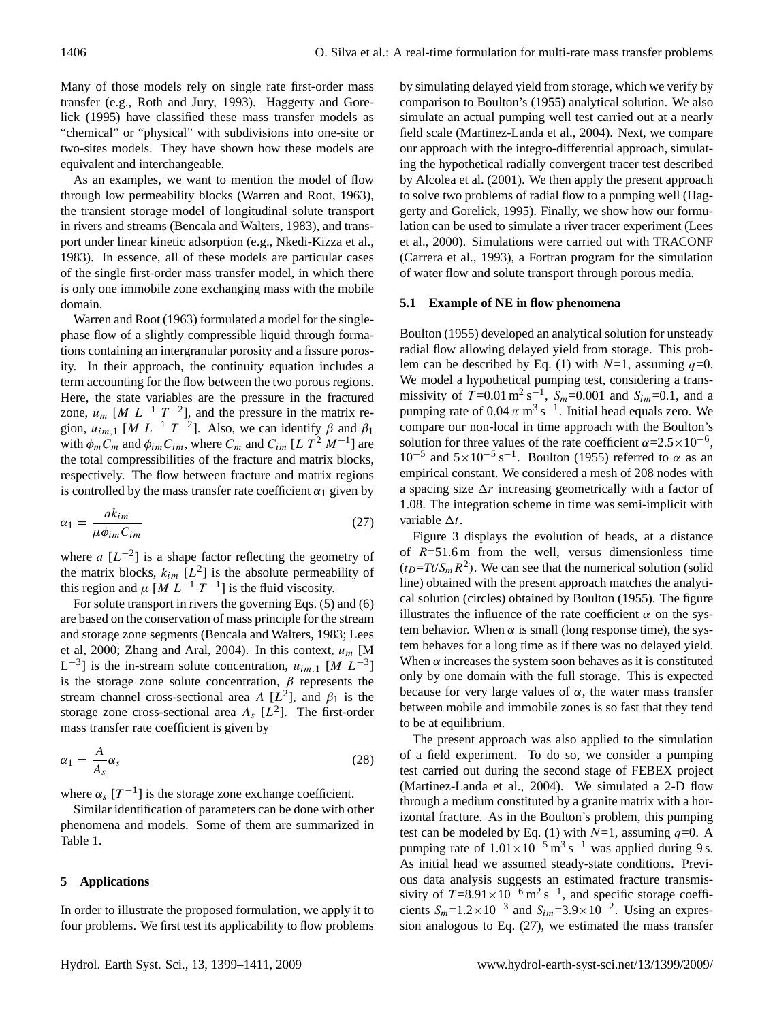Many of those models rely on single rate first-order mass transfer (e.g., Roth and Jury, 1993). Haggerty and Gorelick (1995) have classified these mass transfer models as "chemical" or "physical" with subdivisions into one-site or two-sites models. They have shown how these models are equivalent and interchangeable.

As an examples, we want to mention the model of flow through low permeability blocks (Warren and Root, 1963), the transient storage model of longitudinal solute transport in rivers and streams (Bencala and Walters, 1983), and transport under linear kinetic adsorption (e.g., Nkedi-Kizza et al., 1983). In essence, all of these models are particular cases of the single first-order mass transfer model, in which there is only one immobile zone exchanging mass with the mobile domain.

Warren and Root (1963) formulated a model for the singlephase flow of a slightly compressible liquid through formations containing an intergranular porosity and a fissure porosity. In their approach, the continuity equation includes a term accounting for the flow between the two porous regions. Here, the state variables are the pressure in the fractured zone,  $u_m$  [M  $L^{-1}$   $T^{-2}$ ], and the pressure in the matrix region,  $u_{im,1}$  [M  $L^{-1}$   $T^{-2}$ ]. Also, we can identify  $\beta$  and  $\beta_1$ with  $\phi_m C_m$  and  $\phi_{im} C_{im}$ , where  $C_m$  and  $C_{im}$  [L  $T^2$   $M^{-1}$ ] are the total compressibilities of the fracture and matrix blocks, respectively. The flow between fracture and matrix regions is controlled by the mass transfer rate coefficient  $\alpha_1$  given by

$$
\alpha_1 = \frac{ak_{im}}{\mu \phi_{im} C_{im}} \tag{27}
$$

where  $a [L^{-2}]$  is a shape factor reflecting the geometry of the matrix blocks,  $k_{im}$  [ $L^2$ ] is the absolute permeability of this region and  $\mu$  [M  $L^{-1}$  T<sup>-1</sup>] is the fluid viscosity.

For solute transport in rivers the governing Eqs. (5) and (6) are based on the conservation of mass principle for the stream and storage zone segments (Bencala and Walters, 1983; Lees et al, 2000; Zhang and Aral, 2004). In this context,  $u_m$  [M  $L^{-3}$ ] is the in-stream solute concentration,  $u_{im,1}$  [M  $L^{-3}$ ] is the storage zone solute concentration,  $\beta$  represents the stream channel cross-sectional area A  $[L^2]$ , and  $\beta_1$  is the storage zone cross-sectional area  $A_s$  [ $L^2$ ]. The first-order mass transfer rate coefficient is given by

$$
\alpha_1 = \frac{A}{A_s} \alpha_s \tag{28}
$$

where  $\alpha_s$  [ $T^{-1}$ ] is the storage zone exchange coefficient.

Similar identification of parameters can be done with other phenomena and models. Some of them are summarized in Table 1.

# **5 Applications**

In order to illustrate the proposed formulation, we apply it to four problems. We first test its applicability to flow problems by simulating delayed yield from storage, which we verify by comparison to Boulton's (1955) analytical solution. We also simulate an actual pumping well test carried out at a nearly field scale (Martinez-Landa et al., 2004). Next, we compare our approach with the integro-differential approach, simulating the hypothetical radially convergent tracer test described by Alcolea et al. (2001). We then apply the present approach to solve two problems of radial flow to a pumping well (Haggerty and Gorelick, 1995). Finally, we show how our formulation can be used to simulate a river tracer experiment (Lees et al., 2000). Simulations were carried out with TRACONF (Carrera et al., 1993), a Fortran program for the simulation of water flow and solute transport through porous media.

#### **5.1 Example of NE in flow phenomena**

Boulton (1955) developed an analytical solution for unsteady radial flow allowing delayed yield from storage. This problem can be described by Eq. (1) with  $N=1$ , assuming  $q=0$ . We model a hypothetical pumping test, considering a transmissivity of  $T=0.01 \text{ m}^2 \text{ s}^{-1}$ ,  $S_m=0.001$  and  $S_{im}=0.1$ , and a pumping rate of  $0.04 \pi$  m<sup>3</sup> s<sup>-1</sup>. Initial head equals zero. We compare our non-local in time approach with the Boulton's solution for three values of the rate coefficient  $\alpha = 2.5 \times 10^{-6}$ , 10<sup>-5</sup> and  $5 \times 10^{-5}$  s<sup>-1</sup>. Boulton (1955) referred to α as an empirical constant. We considered a mesh of 208 nodes with a spacing size  $\Delta r$  increasing geometrically with a factor of 1.08. The integration scheme in time was semi-implicit with variable  $\Delta t$ .

Figure 3 displays the evolution of heads, at a distance of  $R=51.6$  m from the well, versus dimensionless time  $(t_D = Tt/S_m R^2)$ . We can see that the numerical solution (solid line) obtained with the present approach matches the analytical solution (circles) obtained by Boulton (1955). The figure illustrates the influence of the rate coefficient  $\alpha$  on the system behavior. When  $\alpha$  is small (long response time), the system behaves for a long time as if there was no delayed yield. When  $\alpha$  increases the system soon behaves as it is constituted only by one domain with the full storage. This is expected because for very large values of  $\alpha$ , the water mass transfer between mobile and immobile zones is so fast that they tend to be at equilibrium.

The present approach was also applied to the simulation of a field experiment. To do so, we consider a pumping test carried out during the second stage of FEBEX project (Martinez-Landa et al., 2004). We simulated a 2-D flow through a medium constituted by a granite matrix with a horizontal fracture. As in the Boulton's problem, this pumping test can be modeled by Eq. (1) with  $N=1$ , assuming  $q=0$ . A pumping rate of  $1.01 \times 10^{-5}$  m<sup>3</sup> s<sup>-1</sup> was applied during 9 s. As initial head we assumed steady-state conditions. Previous data analysis suggests an estimated fracture transmissivity of  $T = 8.91 \times 10^{-6}$  m<sup>2</sup> s<sup>-1</sup>, and specific storage coefficients  $S_m$ =1.2×10<sup>-3</sup> and  $S_{im}$ =3.9×10<sup>-2</sup>. Using an expression analogous to Eq. (27), we estimated the mass transfer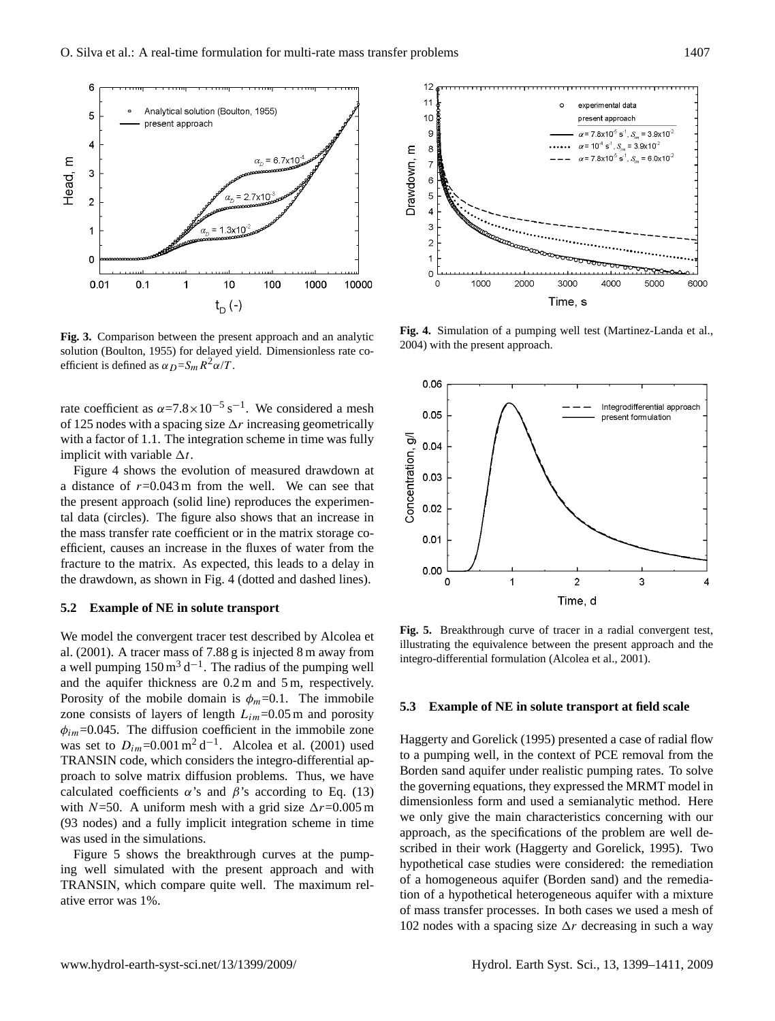

**Fig. 3.** Comparison between the present approach and an analytic solution (Boulton, 1955) for delayed yield. Dimensionless rate coefficient is defined as  $\alpha_D = S_m R^2 \alpha / T$ .

rate coefficient as  $\alpha = 7.8 \times 10^{-5} \text{ s}^{-1}$ . We considered a mesh of 125 nodes with a spacing size  $\Delta r$  increasing geometrically with a factor of 1.1. The integration scheme in time was fully implicit with variable  $\Delta t$ .

Figure 4 shows the evolution of measured drawdown at a distance of  $r=0.043$  m from the well. We can see that the present approach (solid line) reproduces the experimental data (circles). The figure also shows that an increase in the mass transfer rate coefficient or in the matrix storage coefficient, causes an increase in the fluxes of water from the fracture to the matrix. As expected, this leads to a delay in the drawdown, as shown in Fig. 4 (dotted and dashed lines).

#### **5.2 Example of NE in solute transport**

We model the convergent tracer test described by Alcolea et al. (2001). A tracer mass of 7.88 g is injected 8 m away from a well pumping  $150 \text{ m}^3 \text{ d}^{-1}$ . The radius of the pumping well and the aquifer thickness are 0.2 m and 5 m, respectively. Porosity of the mobile domain is  $\phi_m$ =0.1. The immobile zone consists of layers of length  $L_{im}$ =0.05 m and porosity  $\phi_{im}$ =0.045. The diffusion coefficient in the immobile zone was set to  $D_{im} = 0.001 \text{ m}^2 \text{ d}^{-1}$ . Alcolea et al. (2001) used TRANSIN code, which considers the integro-differential approach to solve matrix diffusion problems. Thus, we have calculated coefficients  $\alpha$ 's and  $\beta$ 's according to Eq. (13) with  $N=50$ . A uniform mesh with a grid size  $\Delta r=0.005$  m (93 nodes) and a fully implicit integration scheme in time was used in the simulations.

Figure 5 shows the breakthrough curves at the pumping well simulated with the present approach and with TRANSIN, which compare quite well. The maximum relative error was 1%.



**Fig. 4.** Simulation of a pumping well test (Martinez-Landa et al., 2004) with the present approach.



**Fig. 5.** Breakthrough curve of tracer in a radial convergent test, illustrating the equivalence between the present approach and the integro-differential formulation (Alcolea et al., 2001).

# **5.3 Example of NE in solute transport at field scale**

Haggerty and Gorelick (1995) presented a case of radial flow to a pumping well, in the context of PCE removal from the Borden sand aquifer under realistic pumping rates. To solve the governing equations, they expressed the MRMT model in dimensionless form and used a semianalytic method. Here we only give the main characteristics concerning with our approach, as the specifications of the problem are well described in their work (Haggerty and Gorelick, 1995). Two hypothetical case studies were considered: the remediation of a homogeneous aquifer (Borden sand) and the remediation of a hypothetical heterogeneous aquifer with a mixture of mass transfer processes. In both cases we used a mesh of 102 nodes with a spacing size  $\Delta r$  decreasing in such a way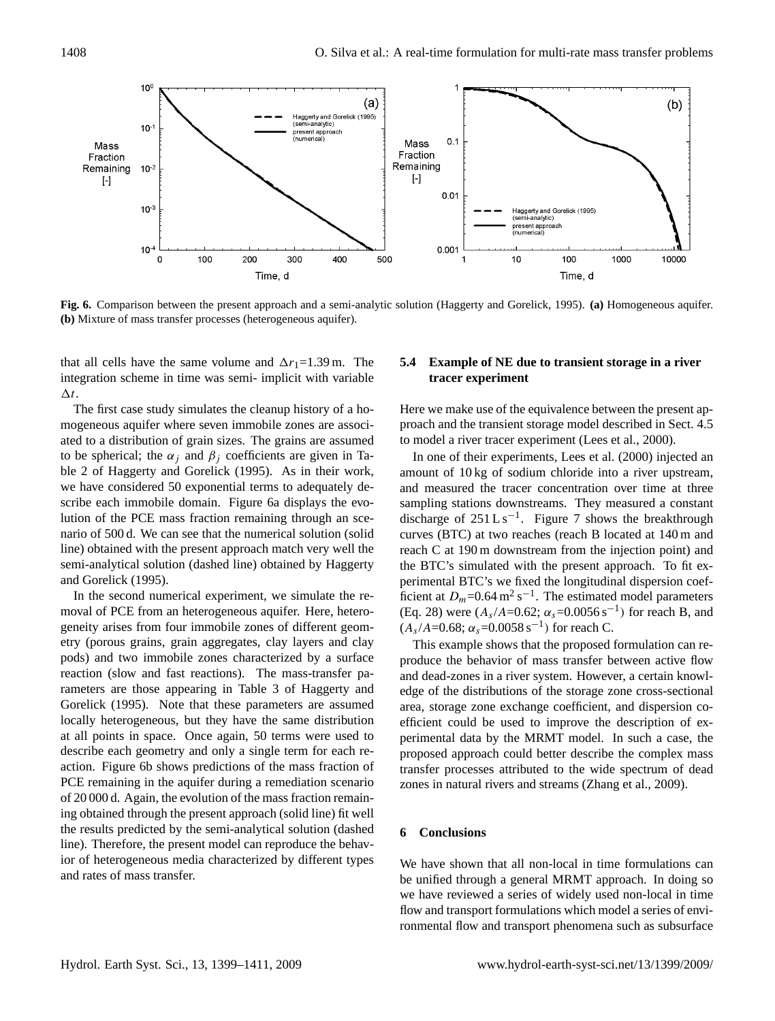

**Fig. 6.** Comparison between the present approach and a semi-analytic solution (Haggerty and Gorelick, 1995). **(a)** Homogeneous aquifer. **(b)** Mixture of mass transfer processes (heterogeneous aquifer).

that all cells have the same volume and  $\Delta r_1 = 1.39$  m. The integration scheme in time was semi- implicit with variable  $\Delta t$ .

The first case study simulates the cleanup history of a homogeneous aquifer where seven immobile zones are associated to a distribution of grain sizes. The grains are assumed to be spherical; the  $\alpha_i$  and  $\beta_i$  coefficients are given in Table 2 of Haggerty and Gorelick (1995). As in their work, we have considered 50 exponential terms to adequately describe each immobile domain. Figure 6a displays the evolution of the PCE mass fraction remaining through an scenario of 500 d. We can see that the numerical solution (solid line) obtained with the present approach match very well the semi-analytical solution (dashed line) obtained by Haggerty and Gorelick (1995).

In the second numerical experiment, we simulate the removal of PCE from an heterogeneous aquifer. Here, heterogeneity arises from four immobile zones of different geometry (porous grains, grain aggregates, clay layers and clay pods) and two immobile zones characterized by a surface reaction (slow and fast reactions). The mass-transfer parameters are those appearing in Table 3 of Haggerty and Gorelick (1995). Note that these parameters are assumed locally heterogeneous, but they have the same distribution at all points in space. Once again, 50 terms were used to describe each geometry and only a single term for each reaction. Figure 6b shows predictions of the mass fraction of PCE remaining in the aquifer during a remediation scenario of 20 000 d. Again, the evolution of the mass fraction remaining obtained through the present approach (solid line) fit well the results predicted by the semi-analytical solution (dashed line). Therefore, the present model can reproduce the behavior of heterogeneous media characterized by different types and rates of mass transfer.

# **5.4 Example of NE due to transient storage in a river tracer experiment**

Here we make use of the equivalence between the present approach and the transient storage model described in Sect. 4.5 to model a river tracer experiment (Lees et al., 2000).

In one of their experiments, Lees et al. (2000) injected an amount of 10 kg of sodium chloride into a river upstream, and measured the tracer concentration over time at three sampling stations downstreams. They measured a constant discharge of  $251 L s^{-1}$ . Figure 7 shows the breakthrough curves (BTC) at two reaches (reach B located at 140 m and reach C at 190 m downstream from the injection point) and the BTC's simulated with the present approach. To fit experimental BTC's we fixed the longitudinal dispersion coefficient at  $D_m$ =0.64 m<sup>2</sup> s<sup>-1</sup>. The estimated model parameters (Eq. 28) were  $(A_s/A=0.62; \alpha_s=0.0056 \text{ s}^{-1})$  for reach B, and  $(A_s/A=0.68; \alpha_s=0.0058 \text{ s}^{-1})$  for reach C.

This example shows that the proposed formulation can reproduce the behavior of mass transfer between active flow and dead-zones in a river system. However, a certain knowledge of the distributions of the storage zone cross-sectional area, storage zone exchange coefficient, and dispersion coefficient could be used to improve the description of experimental data by the MRMT model. In such a case, the proposed approach could better describe the complex mass transfer processes attributed to the wide spectrum of dead zones in natural rivers and streams (Zhang et al., 2009).

# **6 Conclusions**

We have shown that all non-local in time formulations can be unified through a general MRMT approach. In doing so we have reviewed a series of widely used non-local in time flow and transport formulations which model a series of environmental flow and transport phenomena such as subsurface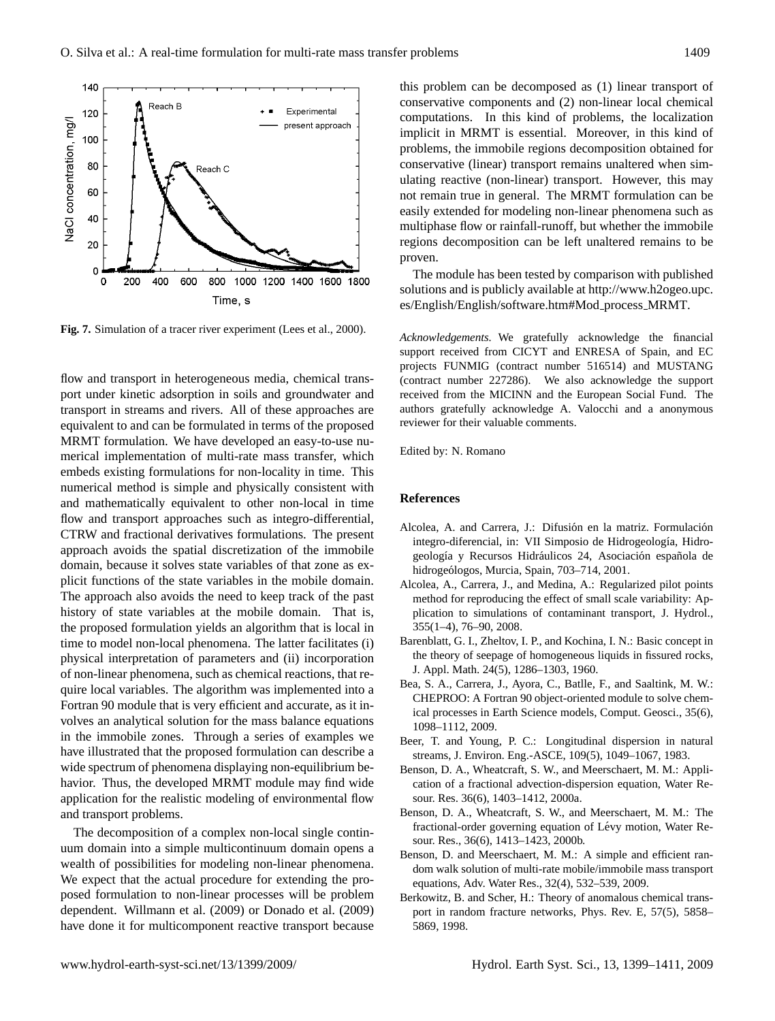

Fig. 7. Simulation of a tracer river experiment (Lees et al., 2000).

flow and transport in heterogeneous media, chemical transport under kinetic adsorption in soils and groundwater and transport in streams and rivers. All of these approaches are equivalent to and can be formulated in terms of the proposed MRMT formulation. We have developed an easy-to-use numerical implementation of multi-rate mass transfer, which embeds existing formulations for non-locality in time. This numerical method is simple and physically consistent with and mathematically equivalent to other non-local in time flow and transport approaches such as integro-differential, CTRW and fractional derivatives formulations. The present approach avoids the spatial discretization of the immobile domain, because it solves state variables of that zone as explicit functions of the state variables in the mobile domain. The approach also avoids the need to keep track of the past history of state variables at the mobile domain. That is, the proposed formulation yields an algorithm that is local in time to model non-local phenomena. The latter facilitates (i) physical interpretation of parameters and (ii) incorporation of non-linear phenomena, such as chemical reactions, that require local variables. The algorithm was implemented into a Fortran 90 module that is very efficient and accurate, as it involves an analytical solution for the mass balance equations in the immobile zones. Through a series of examples we have illustrated that the proposed formulation can describe a wide spectrum of phenomena displaying non-equilibrium behavior. Thus, the developed MRMT module may find wide application for the realistic modeling of environmental flow and transport problems.

The decomposition of a complex non-local single continuum domain into a simple multicontinuum domain opens a wealth of possibilities for modeling non-linear phenomena. We expect that the actual procedure for extending the proposed formulation to non-linear processes will be problem dependent. Willmann et al. (2009) or Donado et al. (2009) have done it for multicomponent reactive transport because this problem can be decomposed as (1) linear transport of conservative components and (2) non-linear local chemical computations. In this kind of problems, the localization implicit in MRMT is essential. Moreover, in this kind of problems, the immobile regions decomposition obtained for conservative (linear) transport remains unaltered when simulating reactive (non-linear) transport. However, this may not remain true in general. The MRMT formulation can be easily extended for modeling non-linear phenomena such as multiphase flow or rainfall-runoff, but whether the immobile regions decomposition can be left unaltered remains to be proven.

The module has been tested by comparison with published solutions and is publicly available at [http://www.h2ogeo.upc.](http://www.h2ogeo.upc.es/English/English/software.htm#Mod_process_MRMT) [es/English/English/software.htm#Mod](http://www.h2ogeo.upc.es/English/English/software.htm#Mod_process_MRMT) process MRMT.

*Acknowledgements.* We gratefully acknowledge the financial support received from CICYT and ENRESA of Spain, and EC projects FUNMIG (contract number 516514) and MUSTANG (contract number 227286). We also acknowledge the support received from the MICINN and the European Social Fund. The authors gratefully acknowledge A. Valocchi and a anonymous reviewer for their valuable comments.

Edited by: N. Romano

# **References**

- Alcolea, A. and Carrera, J.: Difusión en la matriz. Formulación integro-diferencial, in: VII Simposio de Hidrogeología, Hidrogeología y Recursos Hidráulicos 24, Asociación española de hidrogeólogos, Murcia, Spain, 703–714, 2001.
- Alcolea, A., Carrera, J., and Medina, A.: Regularized pilot points method for reproducing the effect of small scale variability: Application to simulations of contaminant transport, J. Hydrol., 355(1–4), 76–90, 2008.
- Barenblatt, G. I., Zheltov, I. P., and Kochina, I. N.: Basic concept in the theory of seepage of homogeneous liquids in fissured rocks, J. Appl. Math. 24(5), 1286–1303, 1960.
- Bea, S. A., Carrera, J., Ayora, C., Batlle, F., and Saaltink, M. W.: CHEPROO: A Fortran 90 object-oriented module to solve chemical processes in Earth Science models, Comput. Geosci., 35(6), 1098–1112, 2009.
- Beer, T. and Young, P. C.: Longitudinal dispersion in natural streams, J. Environ. Eng.-ASCE, 109(5), 1049–1067, 1983.
- Benson, D. A., Wheatcraft, S. W., and Meerschaert, M. M.: Application of a fractional advection-dispersion equation, Water Resour. Res. 36(6), 1403–1412, 2000a.
- Benson, D. A., Wheatcraft, S. W., and Meerschaert, M. M.: The fractional-order governing equation of Lévy motion, Water Resour. Res., 36(6), 1413–1423, 2000b.
- Benson, D. and Meerschaert, M. M.: A simple and efficient random walk solution of multi-rate mobile/immobile mass transport equations, Adv. Water Res., 32(4), 532–539, 2009.
- Berkowitz, B. and Scher, H.: Theory of anomalous chemical transport in random fracture networks, Phys. Rev. E, 57(5), 5858– 5869, 1998.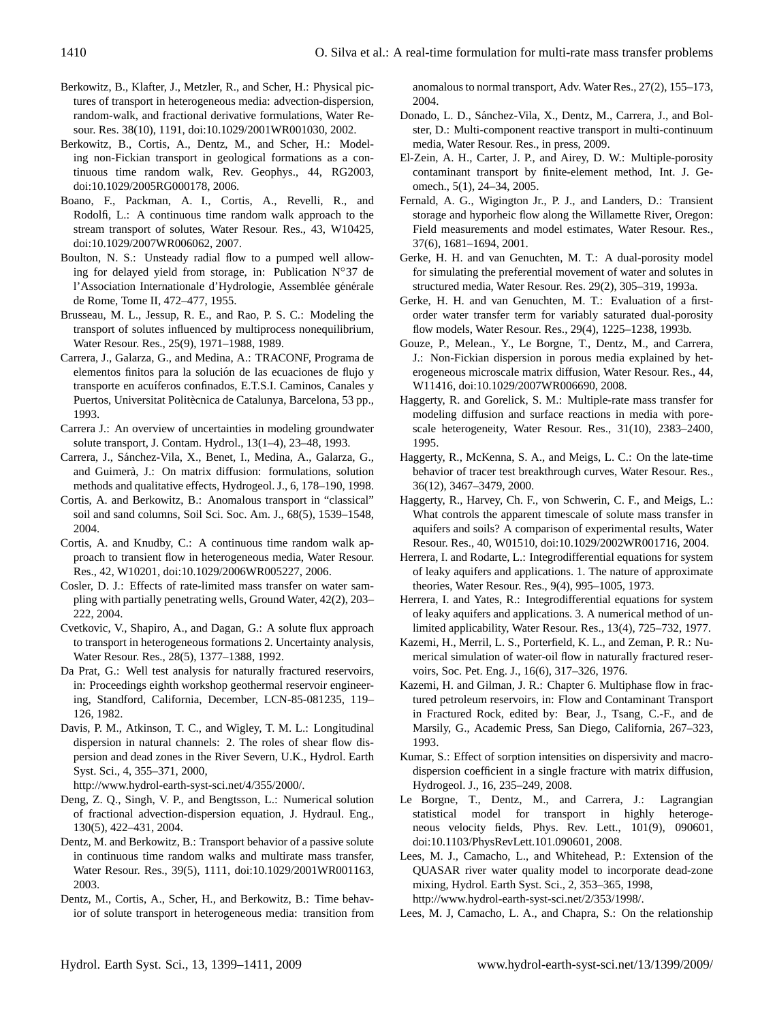- Berkowitz, B., Klafter, J., Metzler, R., and Scher, H.: Physical pictures of transport in heterogeneous media: advection-dispersion, random-walk, and fractional derivative formulations, Water Resour. Res. 38(10), 1191, doi:10.1029/2001WR001030, 2002.
- Berkowitz, B., Cortis, A., Dentz, M., and Scher, H.: Modeling non-Fickian transport in geological formations as a continuous time random walk, Rev. Geophys., 44, RG2003, doi:10.1029/2005RG000178, 2006.
- Boano, F., Packman, A. I., Cortis, A., Revelli, R., and Rodolfi, L.: A continuous time random walk approach to the stream transport of solutes, Water Resour. Res., 43, W10425, doi:10.1029/2007WR006062, 2007.
- Boulton, N. S.: Unsteady radial flow to a pumped well allowing for delayed yield from storage, in: Publication  $N°37$  de l'Association Internationale d'Hydrologie, Assemblée générale de Rome, Tome II, 472–477, 1955.
- Brusseau, M. L., Jessup, R. E., and Rao, P. S. C.: Modeling the transport of solutes influenced by multiprocess nonequilibrium, Water Resour. Res., 25(9), 1971–1988, 1989.
- Carrera, J., Galarza, G., and Medina, A.: TRACONF, Programa de elementos finitos para la solución de las ecuaciones de flujo y transporte en acuíferos confinados, E.T.S.I. Caminos, Canales y Puertos, Universitat Politècnica de Catalunya, Barcelona, 53 pp., 1993.
- Carrera J.: An overview of uncertainties in modeling groundwater solute transport, J. Contam. Hydrol., 13(1–4), 23–48, 1993.
- Carrera, J., Sanchez-Vila, X., Benet, I., Medina, A., Galarza, G., ´ and Guimerà, J.: On matrix diffusion: formulations, solution methods and qualitative effects, Hydrogeol. J., 6, 178–190, 1998.
- Cortis, A. and Berkowitz, B.: Anomalous transport in "classical" soil and sand columns, Soil Sci. Soc. Am. J., 68(5), 1539–1548, 2004.
- Cortis, A. and Knudby, C.: A continuous time random walk approach to transient flow in heterogeneous media, Water Resour. Res., 42, W10201, doi:10.1029/2006WR005227, 2006.
- Cosler, D. J.: Effects of rate-limited mass transfer on water sampling with partially penetrating wells, Ground Water, 42(2), 203– 222, 2004.
- Cvetkovic, V., Shapiro, A., and Dagan, G.: A solute flux approach to transport in heterogeneous formations 2. Uncertainty analysis, Water Resour. Res., 28(5), 1377-1388, 1992.
- Da Prat, G.: Well test analysis for naturally fractured reservoirs, in: Proceedings eighth workshop geothermal reservoir engineering, Standford, California, December, LCN-85-081235, 119– 126, 1982.
- Davis, P. M., Atkinson, T. C., and Wigley, T. M. L.: Longitudinal dispersion in natural channels: 2. The roles of shear flow dispersion and dead zones in the River Severn, U.K., Hydrol. Earth Syst. Sci., 4, 355–371, 2000,
	- [http://www.hydrol-earth-syst-sci.net/4/355/2000/.](http://www.hydrol-earth-syst-sci.net/4/355/2000/)
- Deng, Z. Q., Singh, V. P., and Bengtsson, L.: Numerical solution of fractional advection-dispersion equation, J. Hydraul. Eng., 130(5), 422–431, 2004.
- Dentz, M. and Berkowitz, B.: Transport behavior of a passive solute in continuous time random walks and multirate mass transfer, Water Resour. Res., 39(5), 1111, doi:10.1029/2001WR001163, 2003.
- Dentz, M., Cortis, A., Scher, H., and Berkowitz, B.: Time behavior of solute transport in heterogeneous media: transition from

anomalous to normal transport, Adv. Water Res., 27(2), 155–173, 2004.

- Donado, L. D., Sánchez-Vila, X., Dentz, M., Carrera, J., and Bolster, D.: Multi-component reactive transport in multi-continuum media, Water Resour. Res., in press, 2009.
- El-Zein, A. H., Carter, J. P., and Airey, D. W.: Multiple-porosity contaminant transport by finite-element method, Int. J. Geomech., 5(1), 24–34, 2005.
- Fernald, A. G., Wigington Jr., P. J., and Landers, D.: Transient storage and hyporheic flow along the Willamette River, Oregon: Field measurements and model estimates, Water Resour. Res., 37(6), 1681–1694, 2001.
- Gerke, H. H. and van Genuchten, M. T.: A dual-porosity model for simulating the preferential movement of water and solutes in structured media, Water Resour. Res. 29(2), 305–319, 1993a.
- Gerke, H. H. and van Genuchten, M. T.: Evaluation of a firstorder water transfer term for variably saturated dual-porosity flow models, Water Resour. Res., 29(4), 1225–1238, 1993b.
- Gouze, P., Melean., Y., Le Borgne, T., Dentz, M., and Carrera, J.: Non-Fickian dispersion in porous media explained by heterogeneous microscale matrix diffusion, Water Resour. Res., 44, W11416, doi:10.1029/2007WR006690, 2008.
- Haggerty, R. and Gorelick, S. M.: Multiple-rate mass transfer for modeling diffusion and surface reactions in media with porescale heterogeneity, Water Resour. Res., 31(10), 2383-2400, 1995.
- Haggerty, R., McKenna, S. A., and Meigs, L. C.: On the late-time behavior of tracer test breakthrough curves, Water Resour. Res., 36(12), 3467–3479, 2000.
- Haggerty, R., Harvey, Ch. F., von Schwerin, C. F., and Meigs, L.: What controls the apparent timescale of solute mass transfer in aquifers and soils? A comparison of experimental results, Water Resour. Res., 40, W01510, doi:10.1029/2002WR001716, 2004.
- Herrera, I. and Rodarte, L.: Integrodifferential equations for system of leaky aquifers and applications. 1. The nature of approximate theories, Water Resour. Res., 9(4), 995–1005, 1973.
- Herrera, I. and Yates, R.: Integrodifferential equations for system of leaky aquifers and applications. 3. A numerical method of unlimited applicability, Water Resour. Res., 13(4), 725–732, 1977.
- Kazemi, H., Merril, L. S., Porterfield, K. L., and Zeman, P. R.: Numerical simulation of water-oil flow in naturally fractured reservoirs, Soc. Pet. Eng. J., 16(6), 317–326, 1976.
- Kazemi, H. and Gilman, J. R.: Chapter 6. Multiphase flow in fractured petroleum reservoirs, in: Flow and Contaminant Transport in Fractured Rock, edited by: Bear, J., Tsang, C.-F., and de Marsily, G., Academic Press, San Diego, California, 267–323, 1993.
- Kumar, S.: Effect of sorption intensities on dispersivity and macrodispersion coefficient in a single fracture with matrix diffusion, Hydrogeol. J., 16, 235–249, 2008.
- Le Borgne, T., Dentz, M., and Carrera, J.: Lagrangian statistical model for transport in highly heterogeneous velocity fields, Phys. Rev. Lett., 101(9), 090601, doi:10.1103/PhysRevLett.101.090601, 2008.
- Lees, M. J., Camacho, L., and Whitehead, P.: Extension of the QUASAR river water quality model to incorporate dead-zone mixing, Hydrol. Earth Syst. Sci., 2, 353–365, 1998, [http://www.hydrol-earth-syst-sci.net/2/353/1998/.](http://www.hydrol-earth-syst-sci.net/2/353/1998/)
- Lees, M. J, Camacho, L. A., and Chapra, S.: On the relationship